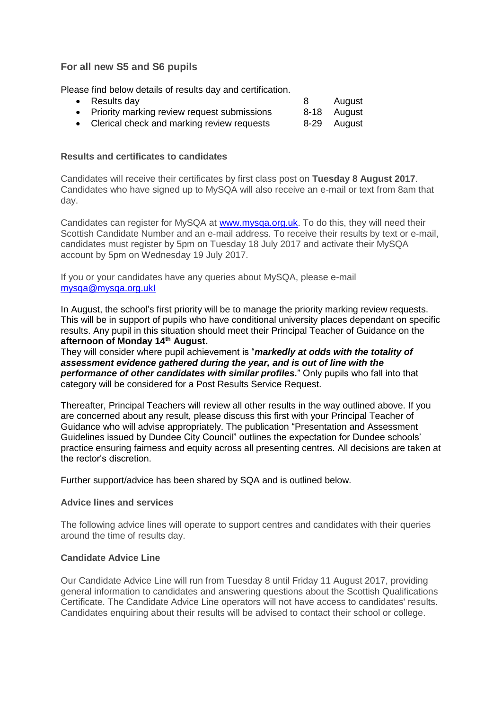# **For all new S5 and S6 pupils**

Please find below details of results day and certification.

| $\bullet$ Results day                         | August      |
|-----------------------------------------------|-------------|
| • Priority marking review request submissions | 8-18 August |
| Clerical check and marking review requests    | 8-29 August |

### **Results and certificates to candidates**

Candidates will receive their certificates by first class post on **Tuesday 8 August 2017**. Candidates who have signed up to MySQA will also receive an e-mail or text from 8am that day.

Candidates can register for MySQA at [www.mysqa.org.uk.](http://mailer.sqa.org.uk/track/bbda31dd-024f-4946-ac8a-a79000ae2739?t=6867e62f1b490be1bbd13ba399961631) To do this, they will need their Scottish Candidate Number and an e-mail address. To receive their results by text or e-mail, candidates must register by 5pm on Tuesday 18 July 2017 and activate their MySQA account by 5pm on Wednesday 19 July 2017.

If you or your candidates have any queries about MySQA, please e-mail [mysqa@mysqa.org.ukI](mailto:mysqa@mysqa.org.ukI)

In August, the school's first priority will be to manage the priority marking review requests. This will be in support of pupils who have conditional university places dependant on specific results. Any pupil in this situation should meet their Principal Teacher of Guidance on the **afternoon of Monday 14th August.**

They will consider where pupil achievement is "*markedly at odds with the totality of assessment evidence gathered during the year, and is out of line with the performance of other candidates with similar profiles.*" Only pupils who fall into that category will be considered for a Post Results Service Request.

Thereafter, Principal Teachers will review all other results in the way outlined above. If you are concerned about any result, please discuss this first with your Principal Teacher of Guidance who will advise appropriately. The publication "Presentation and Assessment Guidelines issued by Dundee City Council" outlines the expectation for Dundee schools' practice ensuring fairness and equity across all presenting centres. All decisions are taken at the rector's discretion.

Further support/advice has been shared by SQA and is outlined below.

#### **Advice lines and services**

The following advice lines will operate to support centres and candidates with their queries around the time of results day.

#### **Candidate Advice Line**

Our Candidate Advice Line will run from Tuesday 8 until Friday 11 August 2017, providing general information to candidates and answering questions about the Scottish Qualifications Certificate. The Candidate Advice Line operators will not have access to candidates' results. Candidates enquiring about their results will be advised to contact their school or college.